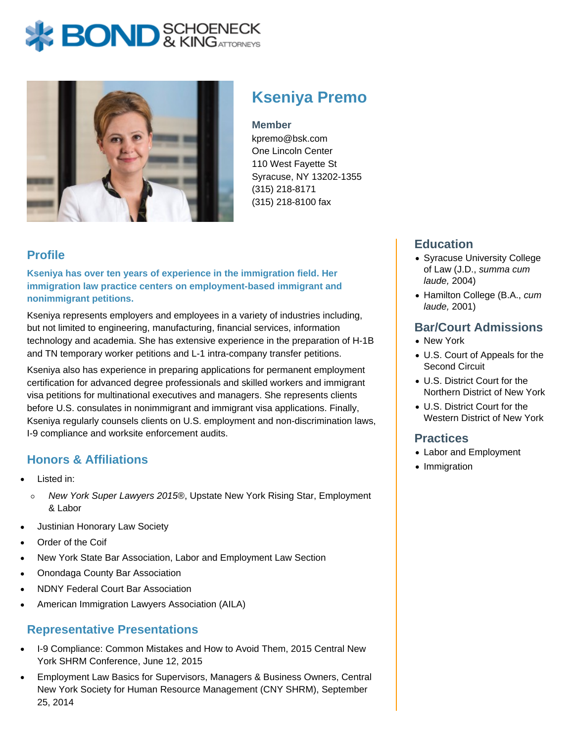# **BOND** & KING ATTORNECK



## **Kseniya Premo**

**Member**

kpremo@bsk.com One Lincoln Center 110 West Fayette St Syracuse, NY 13202-1355 (315) 218-8171 (315) 218-8100 fax

### **Profile**

**Kseniya has over ten years of experience in the immigration field. Her immigration law practice centers on employment-based immigrant and nonimmigrant petitions.**

Kseniya represents employers and employees in a variety of industries including, but not limited to engineering, manufacturing, financial services, information technology and academia. She has extensive experience in the preparation of H-1B and TN temporary worker petitions and L-1 intra-company transfer petitions.

Kseniya also has experience in preparing applications for permanent employment certification for advanced degree professionals and skilled workers and immigrant visa petitions for multinational executives and managers. She represents clients before U.S. consulates in nonimmigrant and immigrant visa applications. Finally, Kseniya regularly counsels clients on U.S. employment and non-discrimination laws, I-9 compliance and worksite enforcement audits.

#### **Honors & Affiliations**

- Listed in:
	- $\circ$ New York Super Lawyers 2015®, Upstate New York Rising Star, Employment & Labor
- Justinian Honorary Law Society
- Order of the Coif
- New York State Bar Association, Labor and Employment Law Section
- Onondaga County Bar Association
- NDNY Federal Court Bar Association
- American Immigration Lawyers Association (AILA)

#### **Representative Presentations**

- I-9 Compliance: Common Mistakes and How to Avoid Them, 2015 Central New York SHRM Conference, June 12, 2015
- Employment Law Basics for Supervisors, Managers & Business Owners, Central New York Society for Human Resource Management (CNY SHRM), September 25, 2014

#### **Education**

- Syracuse University College of Law (J.D., summa cum laude, 2004)
- Hamilton College (B.A., cum laude, 2001)

#### **Bar/Court Admissions**

- New York
- U.S. Court of Appeals for the Second Circuit
- U.S. District Court for the Northern District of New York
- U.S. District Court for the Western District of New York

#### **Practices**

- Labor and Employment
- Immigration